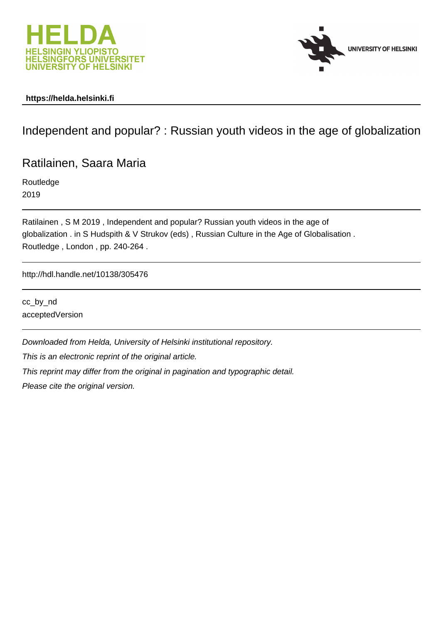



## **https://helda.helsinki.fi**

# Independent and popular? : Russian youth videos in the age of globalization

## Ratilainen, Saara Maria

Routledge 2019

Ratilainen , S M 2019 , Independent and popular? Russian youth videos in the age of globalization . in S Hudspith & V Strukov (eds) , Russian Culture in the Age of Globalisation . Routledge , London , pp. 240-264 .

http://hdl.handle.net/10138/305476

cc\_by\_nd acceptedVersion

Downloaded from Helda, University of Helsinki institutional repository.

This is an electronic reprint of the original article.

This reprint may differ from the original in pagination and typographic detail.

Please cite the original version.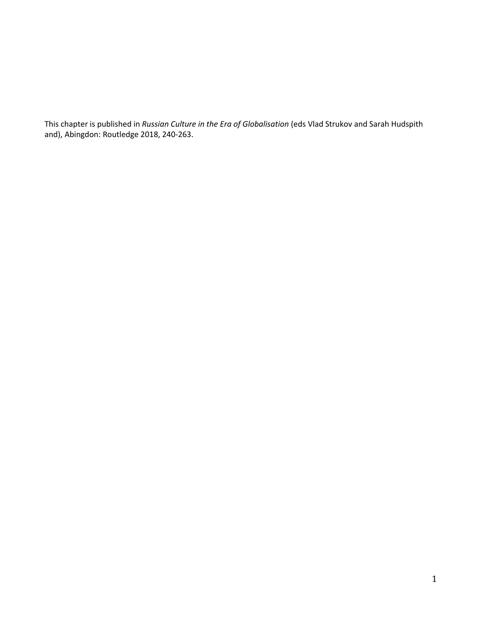This chapter is published in *Russian Culture in the Era of Globalisation* (eds Vlad Strukov and Sarah Hudspith and), Abingdon: Routledge 2018, 240-263.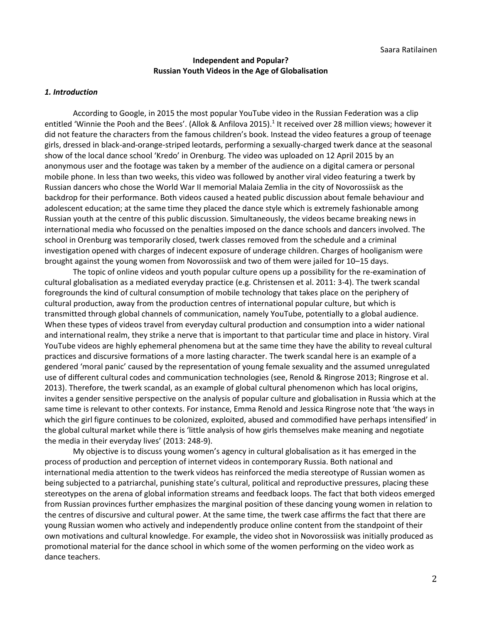## **Independent and Popular? Russian Youth Videos in the Age of Globalisation**

#### *1. Introduction*

According to Google, in 2015 the most popular YouTube video in the Russian Federation was a clip entitled 'Winnie the Pooh and the Bees'. (Allok & Anfilova 2015).<sup>1</sup> It received over 28 million views; however it did not feature the characters from the famous children's book. Instead the video features a group of teenage girls, dressed in black-and-orange-striped leotards, performing a sexually-charged twerk dance at the seasonal show of the local dance school 'Kredo' in Orenburg. The video was uploaded on 12 April 2015 by an anonymous user and the footage was taken by a member of the audience on a digital camera or personal mobile phone. In less than two weeks, this video was followed by another viral video featuring a twerk by Russian dancers who chose the World War II memorial Malaia Zemlia in the city of Novorossiisk as the backdrop for their performance. Both videos caused a heated public discussion about female behaviour and adolescent education; at the same time they placed the dance style which is extremely fashionable among Russian youth at the centre of this public discussion. Simultaneously, the videos became breaking news in international media who focussed on the penalties imposed on the dance schools and dancers involved. The school in Orenburg was temporarily closed, twerk classes removed from the schedule and a criminal investigation opened with charges of indecent exposure of underage children. Charges of hooliganism were brought against the young women from Novorossiisk and two of them were jailed for 10–15 days.

The topic of online videos and youth popular culture opens up a possibility for the re-examination of cultural globalisation as a mediated everyday practice (e.g. Christensen et al. 2011: 3-4). The twerk scandal foregrounds the kind of cultural consumption of mobile technology that takes place on the periphery of cultural production, away from the production centres of international popular culture, but which is transmitted through global channels of communication, namely YouTube, potentially to a global audience. When these types of videos travel from everyday cultural production and consumption into a wider national and international realm, they strike a nerve that is important to that particular time and place in history. Viral YouTube videos are highly ephemeral phenomena but at the same time they have the ability to reveal cultural practices and discursive formations of a more lasting character. The twerk scandal here is an example of a gendered 'moral panic' caused by the representation of young female sexuality and the assumed unregulated use of different cultural codes and communication technologies (see, Renold & Ringrose 2013; Ringrose et al. 2013). Therefore, the twerk scandal, as an example of global cultural phenomenon which has local origins, invites a gender sensitive perspective on the analysis of popular culture and globalisation in Russia which at the same time is relevant to other contexts. For instance, Emma Renold and Jessica Ringrose note that 'the ways in which the girl figure continues to be colonized, exploited, abused and commodified have perhaps intensified' in the global cultural market while there is 'little analysis of how girls themselves make meaning and negotiate the media in their everyday lives' (2013: 248-9).

My objective is to discuss young women's agency in cultural globalisation as it has emerged in the process of production and perception of internet videos in contemporary Russia. Both national and international media attention to the twerk videos has reinforced the media stereotype of Russian women as being subjected to a patriarchal, punishing state's cultural, political and reproductive pressures, placing these stereotypes on the arena of global information streams and feedback loops. The fact that both videos emerged from Russian provinces further emphasizes the marginal position of these dancing young women in relation to the centres of discursive and cultural power. At the same time, the twerk case affirms the fact that there are young Russian women who actively and independently produce online content from the standpoint of their own motivations and cultural knowledge. For example, the video shot in Novorossiisk was initially produced as promotional material for the dance school in which some of the women performing on the video work as dance teachers.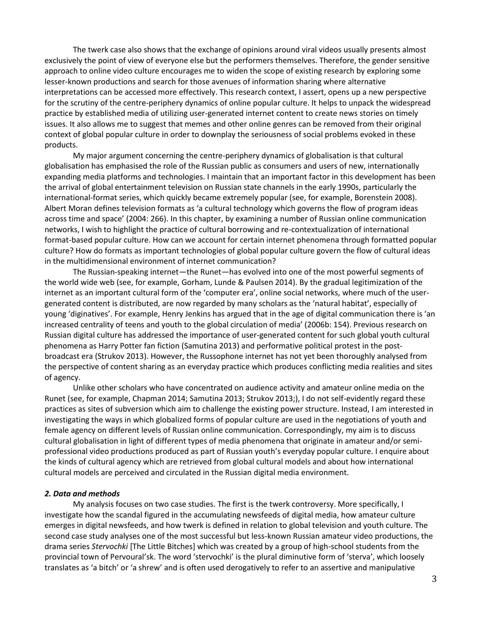The twerk case also shows that the exchange of opinions around viral videos usually presents almost exclusively the point of view of everyone else but the performers themselves. Therefore, the gender sensitive approach to online video culture encourages me to widen the scope of existing research by exploring some lesser-known productions and search for those avenues of information sharing where alternative interpretations can be accessed more effectively. This research context, I assert, opens up a new perspective for the scrutiny of the centre-periphery dynamics of online popular culture. It helps to unpack the widespread practice by established media of utilizing user-generated internet content to create news stories on timely issues. It also allows me to suggest that memes and other online genres can be removed from their original context of global popular culture in order to downplay the seriousness of social problems evoked in these products.

My major argument concerning the centre-periphery dynamics of globalisation is that cultural globalisation has emphasised the role of the Russian public as consumers and users of new, internationally expanding media platforms and technologies. I maintain that an important factor in this development has been the arrival of global entertainment television on Russian state channels in the early 1990s, particularly the international-format series, which quickly became extremely popular (see, for example, Borenstein 2008). Albert Moran defines television formats as 'a cultural technology which governs the flow of program ideas across time and space' (2004: 266). In this chapter, by examining a number of Russian online communication networks, I wish to highlight the practice of cultural borrowing and re-contextualization of international format-based popular culture. How can we account for certain internet phenomena through formatted popular culture? How do formats as important technologies of global popular culture govern the flow of cultural ideas in the multidimensional environment of internet communication?

The Russian-speaking internet—the Runet—has evolved into one of the most powerful segments of the world wide web (see, for example, Gorham, Lunde & Paulsen 2014). By the gradual legitimization of the internet as an important cultural form of the 'computer era', online social networks, where much of the usergenerated content is distributed, are now regarded by many scholars as the 'natural habitat', especially of young 'diginatives'. For example, Henry Jenkins has argued that in the age of digital communication there is 'an increased centrality of teens and youth to the global circulation of media' (2006b: 154). Previous research on Russian digital culture has addressed the importance of user-generated content for such global youth cultural phenomena as Harry Potter fan fiction (Samutina 2013) and performative political protest in the postbroadcast era (Strukov 2013). However, the Russophone internet has not yet been thoroughly analysed from the perspective of content sharing as an everyday practice which produces conflicting media realities and sites of agency.

Unlike other scholars who have concentrated on audience activity and amateur online media on the Runet (see, for example, Chapman 2014; Samutina 2013; Strukov 2013;), I do not self-evidently regard these practices as sites of subversion which aim to challenge the existing power structure. Instead, I am interested in investigating the ways in which globalized forms of popular culture are used in the negotiations of youth and female agency on different levels of Russian online communication. Correspondingly, my aim is to discuss cultural globalisation in light of different types of media phenomena that originate in amateur and/or semiprofessional video productions produced as part of Russian youth's everyday popular culture. I enquire about the kinds of cultural agency which are retrieved from global cultural models and about how international cultural models are perceived and circulated in the Russian digital media environment.

#### *2. Data and methods*

My analysis focuses on two case studies. The first is the twerk controversy. More specifically, I investigate how the scandal figured in the accumulating newsfeeds of digital media, how amateur culture emerges in digital newsfeeds, and how twerk is defined in relation to global television and youth culture. The second case study analyses one of the most successful but less-known Russian amateur video productions, the drama series *Stervochki* [The Little Bitches] which was created by a group of high-school students from the provincial town of Pervoural'sk. The word 'stervochki' is the plural diminutive form of 'sterva', which loosely translates as 'a bitch' or 'a shrew' and is often used derogatively to refer to an assertive and manipulative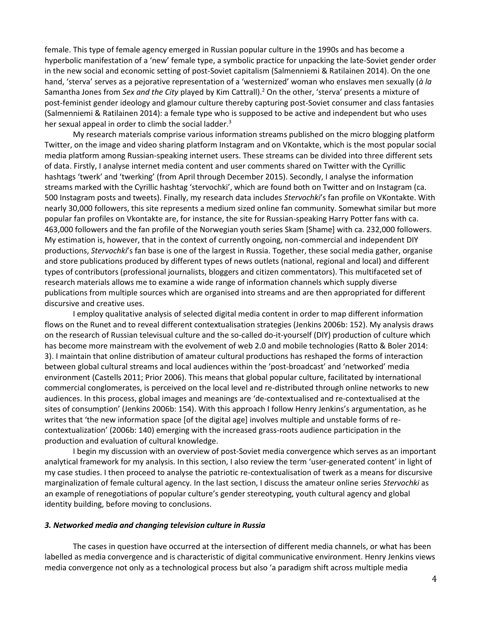female. This type of female agency emerged in Russian popular culture in the 1990s and has become a hyperbolic manifestation of a 'new' female type, a symbolic practice for unpacking the late-Soviet gender order in the new social and economic setting of post-Soviet capitalism (Salmenniemi & Ratilainen 2014). On the one hand, 'sterva' serves as a pejorative representation of a 'westernized' woman who enslaves men sexually (*à la* Samantha Jones from *Sex and the City* played by Kim Cattrall).<sup>2</sup> On the other, 'sterva' presents a mixture of post-feminist gender ideology and glamour culture thereby capturing post-Soviet consumer and class fantasies (Salmenniemi & Ratilainen 2014): a female type who is supposed to be active and independent but who uses her sexual appeal in order to climb the social ladder.<sup>3</sup>

My research materials comprise various information streams published on the micro blogging platform Twitter, on the image and video sharing platform Instagram and on VKontakte, which is the most popular social media platform among Russian-speaking internet users. These streams can be divided into three different sets of data. Firstly, I analyse internet media content and user comments shared on Twitter with the Cyrillic hashtags 'twerk' and 'twerking' (from April through December 2015). Secondly, I analyse the information streams marked with the Cyrillic hashtag 'stervochki', which are found both on Twitter and on Instagram (ca. 500 Instagram posts and tweets). Finally, my research data includes *Stervochki*'s fan profile on VKontakte. With nearly 30,000 followers, this site represents a medium sized online fan community. Somewhat similar but more popular fan profiles on Vkontakte are, for instance, the site for Russian-speaking Harry Potter fans with ca. 463,000 followers and the fan profile of the Norwegian youth series Skam [Shame] with ca. 232,000 followers. My estimation is, however, that in the context of currently ongoing, non-commercial and independent DIY productions, *Stervochki*'s fan base is one of the largest in Russia. Together, these social media gather, organise and store publications produced by different types of news outlets (national, regional and local) and different types of contributors (professional journalists, bloggers and citizen commentators). This multifaceted set of research materials allows me to examine a wide range of information channels which supply diverse publications from multiple sources which are organised into streams and are then appropriated for different discursive and creative uses.

I employ qualitative analysis of selected digital media content in order to map different information flows on the Runet and to reveal different contextualisation strategies (Jenkins 2006b: 152). My analysis draws on the research of Russian televisual culture and the so-called do-it-yourself (DIY) production of culture which has become more mainstream with the evolvement of web 2.0 and mobile technologies (Ratto & Boler 2014: 3). I maintain that online distribution of amateur cultural productions has reshaped the forms of interaction between global cultural streams and local audiences within the 'post-broadcast' and 'networked' media environment (Castells 2011; Prior 2006). This means that global popular culture, facilitated by international commercial conglomerates, is perceived on the local level and re-distributed through online networks to new audiences. In this process, global images and meanings are 'de-contextualised and re-contextualised at the sites of consumption' (Jenkins 2006b: 154). With this approach I follow Henry Jenkins's argumentation, as he writes that 'the new information space [of the digital age] involves multiple and unstable forms of recontextualization' (2006b: 140) emerging with the increased grass-roots audience participation in the production and evaluation of cultural knowledge.

I begin my discussion with an overview of post-Soviet media convergence which serves as an important analytical framework for my analysis. In this section, I also review the term 'user-generated content' in light of my case studies. I then proceed to analyse the patriotic re-contextualisation of twerk as a means for discursive marginalization of female cultural agency. In the last section, I discuss the amateur online series *Stervochki* as an example of renegotiations of popular culture's gender stereotyping, youth cultural agency and global identity building, before moving to conclusions.

#### *3. Networked media and changing television culture in Russia*

The cases in question have occurred at the intersection of different media channels, or what has been labelled as media convergence and is characteristic of digital communicative environment. Henry Jenkins views media convergence not only as a technological process but also 'a paradigm shift across multiple media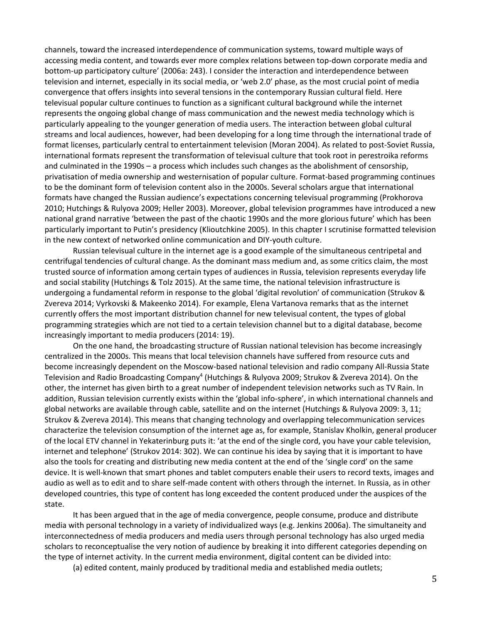channels, toward the increased interdependence of communication systems, toward multiple ways of accessing media content, and towards ever more complex relations between top-down corporate media and bottom-up participatory culture' (2006a: 243). I consider the interaction and interdependence between television and internet, especially in its social media, or 'web 2.0' phase, as the most crucial point of media convergence that offers insights into several tensions in the contemporary Russian cultural field. Here televisual popular culture continues to function as a significant cultural background while the internet represents the ongoing global change of mass communication and the newest media technology which is particularly appealing to the younger generation of media users. The interaction between global cultural streams and local audiences, however, had been developing for a long time through the international trade of format licenses, particularly central to entertainment television (Moran 2004). As related to post-Soviet Russia, international formats represent the transformation of televisual culture that took root in perestroika reforms and culminated in the 1990s – a process which includes such changes as the abolishment of censorship, privatisation of media ownership and westernisation of popular culture. Format-based programming continues to be the dominant form of television content also in the 2000s. Several scholars argue that international formats have changed the Russian audience's expectations concerning televisual programming (Prokhorova 2010; Hutchings & Rulyova 2009; Heller 2003). Moreover, global television programmes have introduced a new national grand narrative 'between the past of the chaotic 1990s and the more glorious future' which has been particularly important to Putin's presidency (Klioutchkine 2005). In this chapter I scrutinise formatted television in the new context of networked online communication and DIY-youth culture.

Russian televisual culture in the internet age is a good example of the simultaneous centripetal and centrifugal tendencies of cultural change. As the dominant mass medium and, as some critics claim, the most trusted source of information among certain types of audiences in Russia, television represents everyday life and social stability (Hutchings & Tolz 2015). At the same time, the national television infrastructure is undergoing a fundamental reform in response to the global 'digital revolution' of communication (Strukov & Zvereva 2014; Vyrkovski & Makeenko 2014). For example, Elena Vartanova remarks that as the internet currently offers the most important distribution channel for new televisual content, the types of global programming strategies which are not tied to a certain television channel but to a digital database, become increasingly important to media producers (2014: 19).

On the one hand, the broadcasting structure of Russian national television has become increasingly centralized in the 2000s. This means that local television channels have suffered from resource cuts and become increasingly dependent on the Moscow-based national television and radio company All-Russia State Television and Radio Broadcasting Company<sup>4</sup> (Hutchings & Rulyova 2009; Strukov & Zvereva 2014). On the other, the internet has given birth to a great number of independent television networks such as TV Rain. In addition, Russian television currently exists within the 'global info-sphere', in which international channels and global networks are available through cable, satellite and on the internet (Hutchings & Rulyova 2009: 3, 11; Strukov & Zvereva 2014). This means that changing technology and overlapping telecommunication services characterize the television consumption of the internet age as, for example, Stanislav Kholkin, general producer of the local ETV channel in Yekaterinburg puts it: 'at the end of the single cord, you have your cable television, internet and telephone' (Strukov 2014: 302). We can continue his idea by saying that it is important to have also the tools for creating and distributing new media content at the end of the 'single cord' on the same device. It is well-known that smart phones and tablet computers enable their users to record texts, images and audio as well as to edit and to share self-made content with others through the internet. In Russia, as in other developed countries, this type of content has long exceeded the content produced under the auspices of the state.

It has been argued that in the age of media convergence, people consume, produce and distribute media with personal technology in a variety of individualized ways (e.g. Jenkins 2006a). The simultaneity and interconnectedness of media producers and media users through personal technology has also urged media scholars to reconceptualise the very notion of audience by breaking it into different categories depending on the type of internet activity. In the current media environment, digital content can be divided into:

(a) edited content, mainly produced by traditional media and established media outlets;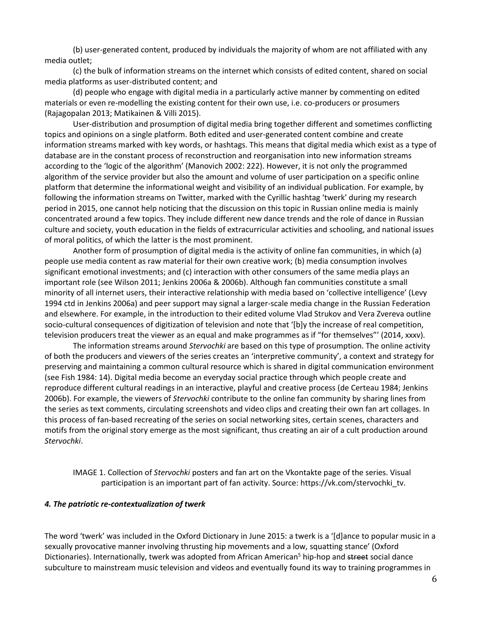(b) user-generated content, produced by individuals the majority of whom are not affiliated with any media outlet;

(c) the bulk of information streams on the internet which consists of edited content, shared on social media platforms as user-distributed content; and

(d) people who engage with digital media in a particularly active manner by commenting on edited materials or even re-modelling the existing content for their own use, i.e. co-producers or prosumers (Rajagopalan 2013; Matikainen & Villi 2015).

User-distribution and prosumption of digital media bring together different and sometimes conflicting topics and opinions on a single platform. Both edited and user-generated content combine and create information streams marked with key words, or hashtags. This means that digital media which exist as a type of database are in the constant process of reconstruction and reorganisation into new information streams according to the 'logic of the algorithm' (Manovich 2002: 222). However, it is not only the programmed algorithm of the service provider but also the amount and volume of user participation on a specific online platform that determine the informational weight and visibility of an individual publication. For example, by following the information streams on Twitter, marked with the Cyrillic hashtag 'twerk' during my research period in 2015, one cannot help noticing that the discussion on this topic in Russian online media is mainly concentrated around a few topics. They include different new dance trends and the role of dance in Russian culture and society, youth education in the fields of extracurricular activities and schooling, and national issues of moral politics, of which the latter is the most prominent.

Another form of prosumption of digital media is the activity of online fan communities, in which (a) people use media content as raw material for their own creative work; (b) media consumption involves significant emotional investments; and (c) interaction with other consumers of the same media plays an important role (see Wilson 2011; Jenkins 2006a & 2006b). Although fan communities constitute a small minority of all internet users, their interactive relationship with media based on 'collective intelligence' (Levy 1994 ctd in Jenkins 2006a) and peer support may signal a larger-scale media change in the Russian Federation and elsewhere. For example, in the introduction to their edited volume Vlad Strukov and Vera Zvereva outline socio-cultural consequences of digitization of television and note that '[b]y the increase of real competition, television producers treat the viewer as an equal and make programmes as if "for themselves"' (2014, xxxv).

The information streams around *Stervochki* are based on this type of prosumption. The online activity of both the producers and viewers of the series creates an 'interpretive community', a context and strategy for preserving and maintaining a common cultural resource which is shared in digital communication environment (see Fish 1984: 14). Digital media become an everyday social practice through which people create and reproduce different cultural readings in an interactive, playful and creative process (de Certeau 1984; Jenkins 2006b). For example, the viewers of *Stervochki* contribute to the online fan community by sharing lines from the series as text comments, circulating screenshots and video clips and creating their own fan art collages. In this process of fan-based recreating of the series on social networking sites, certain scenes, characters and motifs from the original story emerge as the most significant, thus creating an air of a cult production around *Stervochki*.

IMAGE 1. Collection of *Stervochki* posters and fan art on the Vkontakte page of the series. Visual participation is an important part of fan activity. Source: https://vk.com/stervochki\_tv.

## *4. The patriotic re-contextualization of twerk*

The word 'twerk' was included in the Oxford Dictionary in June 2015: a twerk is a '[d]ance to popular music in a sexually provocative manner involving thrusting hip movements and a low, squatting stance' (Oxford Dictionaries). Internationally, twerk was adopted from African American<sup>5</sup> hip-hop and street social dance subculture to mainstream music television and videos and eventually found its way to training programmes in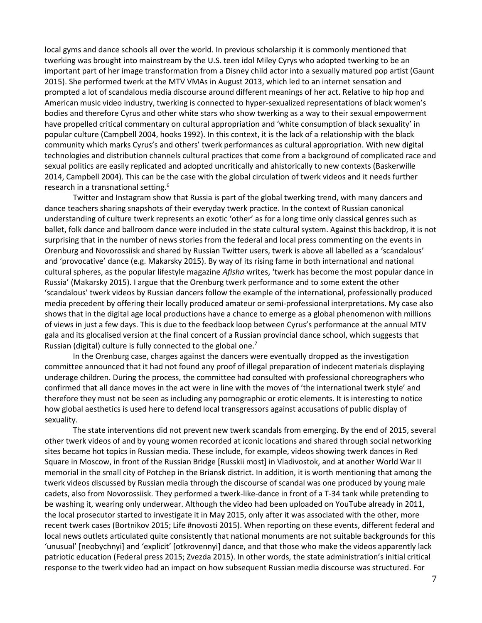local gyms and dance schools all over the world. In previous scholarship it is commonly mentioned that twerking was brought into mainstream by the U.S. teen idol Miley Cyrys who adopted twerking to be an important part of her image transformation from a Disney child actor into a sexually matured pop artist (Gaunt 2015). She performed twerk at the MTV VMAs in August 2013, which led to an internet sensation and prompted a lot of scandalous media discourse around different meanings of her act. Relative to hip hop and American music video industry, twerking is connected to hyper-sexualized representations of black women's bodies and therefore Cyrus and other white stars who show twerking as a way to their sexual empowerment have propelled critical commentary on cultural appropriation and 'white consumption of black sexuality' in popular culture (Campbell 2004, hooks 1992). In this context, it is the lack of a relationship with the black community which marks Cyrus's and others' twerk performances as cultural appropriation. With new digital technologies and distribution channels cultural practices that come from a background of complicated race and sexual politics are easily replicated and adopted uncritically and ahistorically to new contexts (Baskerwille 2014, Campbell 2004). This can be the case with the global circulation of twerk videos and it needs further research in a transnational setting.<sup>6</sup>

Twitter and Instagram show that Russia is part of the global twerking trend, with many dancers and dance teachers sharing snapshots of their everyday twerk practice. In the context of Russian canonical understanding of culture twerk represents an exotic 'other' as for a long time only classical genres such as ballet, folk dance and ballroom dance were included in the state cultural system. Against this backdrop, it is not surprising that in the number of news stories from the federal and local press commenting on the events in Orenburg and Novorossiisk and shared by Russian Twitter users, twerk is above all labelled as a 'scandalous' and 'provocative' dance (e.g. Makarsky 2015). By way of its rising fame in both international and national cultural spheres, as the popular lifestyle magazine *Afisha* writes, 'twerk has become the most popular dance in Russia' (Makarsky 2015). I argue that the Orenburg twerk performance and to some extent the other 'scandalous' twerk videos by Russian dancers follow the example of the international, professionally produced media precedent by offering their locally produced amateur or semi-professional interpretations. My case also shows that in the digital age local productions have a chance to emerge as a global phenomenon with millions of views in just a few days. This is due to the feedback loop between Cyrus's performance at the annual MTV gala and its glocalised version at the final concert of a Russian provincial dance school, which suggests that Russian (digital) culture is fully connected to the global one.<sup>7</sup>

In the Orenburg case, charges against the dancers were eventually dropped as the investigation committee announced that it had not found any proof of illegal preparation of indecent materials displaying underage children. During the process, the committee had consulted with professional choreographers who confirmed that all dance moves in the act were in line with the moves of 'the international twerk style' and therefore they must not be seen as including any pornographic or erotic elements. It is interesting to notice how global aesthetics is used here to defend local transgressors against accusations of public display of sexuality.

The state interventions did not prevent new twerk scandals from emerging. By the end of 2015, several other twerk videos of and by young women recorded at iconic locations and shared through social networking sites became hot topics in Russian media. These include, for example, videos showing twerk dances in Red Square in Moscow, in front of the Russian Bridge [Russkii most] in Vladivostok, and at another World War II memorial in the small city of Potchep in the Briansk district. In addition, it is worth mentioning that among the twerk videos discussed by Russian media through the discourse of scandal was one produced by young male cadets, also from Novorossiisk. They performed a twerk-like-dance in front of a T-34 tank while pretending to be washing it, wearing only underwear. Although the video had been uploaded on YouTube already in 2011, the local prosecutor started to investigate it in May 2015, only after it was associated with the other, more recent twerk cases (Bortnikov 2015; Life #novosti 2015). When reporting on these events, different federal and local news outlets articulated quite consistently that national monuments are not suitable backgrounds for this 'unusual' [neobychnyi] and 'explicit' [otkrovennyi] dance, and that those who make the videos apparently lack patriotic education (Federal press 2015; Zvezda 2015). In other words, the state administration's initial critical response to the twerk video had an impact on how subsequent Russian media discourse was structured. For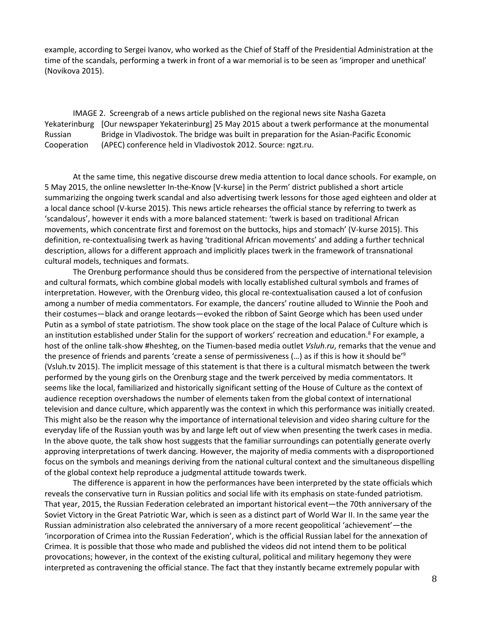example, according to Sergei Ivanov, who worked as the Chief of Staff of the Presidential Administration at the time of the scandals, performing a twerk in front of a war memorial is to be seen as 'improper and unethical' (Novikova 2015).

IMAGE 2. Screengrab of a news article published on the regional news site Nasha Gazeta Yekaterinburg [Our newspaper Yekaterinburg] 25 May 2015 about a twerk performance at the monumental Russian Bridge in Vladivostok. The bridge was built in preparation for the Asian-Pacific Economic Cooperation (APEC) conference held in Vladivostok 2012. Source: ngzt.ru.

At the same time, this negative discourse drew media attention to local dance schools. For example, on 5 May 2015, the online newsletter In-the-Know [V-kurse] in the Perm' district published a short article summarizing the ongoing twerk scandal and also advertising twerk lessons for those aged eighteen and older at a local dance school (V-kurse 2015). This news article rehearses the official stance by referring to twerk as 'scandalous', however it ends with a more balanced statement: 'twerk is based on traditional African movements, which concentrate first and foremost on the buttocks, hips and stomach' (V-kurse 2015). This definition, re-contextualising twerk as having 'traditional African movements' and adding a further technical description, allows for a different approach and implicitly places twerk in the framework of transnational cultural models, techniques and formats.

The Orenburg performance should thus be considered from the perspective of international television and cultural formats, which combine global models with locally established cultural symbols and frames of interpretation. However, with the Orenburg video, this glocal re-contextualisation caused a lot of confusion among a number of media commentators. For example, the dancers' routine alluded to Winnie the Pooh and their costumes—black and orange leotards—evoked the ribbon of Saint George which has been used under Putin as a symbol of state patriotism. The show took place on the stage of the local Palace of Culture which is an institution established under Stalin for the support of workers' recreation and education.<sup>8</sup> For example, a host of the online talk-show #heshteg, on the Tiumen-based media outlet *Vsluh.ru*, remarks that the venue and the presence of friends and parents 'create a sense of permissiveness (…) as if this is how it should be'<sup>9</sup> (Vsluh.tv 2015). The implicit message of this statement is that there is a cultural mismatch between the twerk performed by the young girls on the Orenburg stage and the twerk perceived by media commentators. It seems like the local, familiarized and historically significant setting of the House of Culture as the context of audience reception overshadows the number of elements taken from the global context of international television and dance culture, which apparently was the context in which this performance was initially created. This might also be the reason why the importance of international television and video sharing culture for the everyday life of the Russian youth was by and large left out of view when presenting the twerk cases in media. In the above quote, the talk show host suggests that the familiar surroundings can potentially generate overly approving interpretations of twerk dancing. However, the majority of media comments with a disproportioned focus on the symbols and meanings deriving from the national cultural context and the simultaneous dispelling of the global context help reproduce a judgmental attitude towards twerk.

The difference is apparent in how the performances have been interpreted by the state officials which reveals the conservative turn in Russian politics and social life with its emphasis on state-funded patriotism. That year, 2015, the Russian Federation celebrated an important historical event—the 70th anniversary of the Soviet Victory in the Great Patriotic War, which is seen as a distinct part of World War II. In the same year the Russian administration also celebrated the anniversary of a more recent geopolitical 'achievement'—the 'incorporation of Crimea into the Russian Federation', which is the official Russian label for the annexation of Crimea. It is possible that those who made and published the videos did not intend them to be political provocations; however, in the context of the existing cultural, political and military hegemony they were interpreted as contravening the official stance. The fact that they instantly became extremely popular with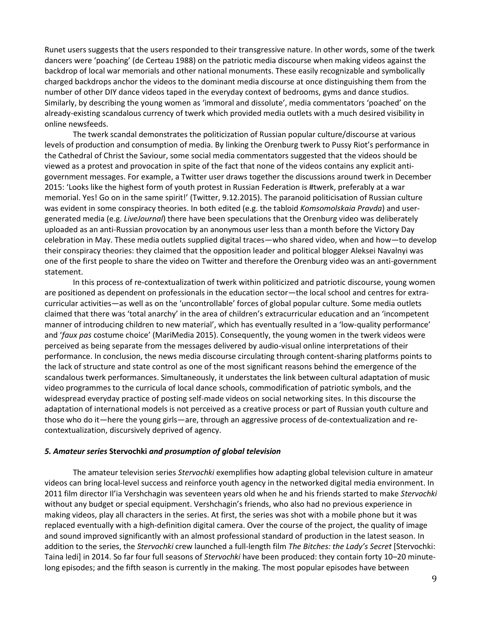Runet users suggests that the users responded to their transgressive nature. In other words, some of the twerk dancers were 'poaching' (de Certeau 1988) on the patriotic media discourse when making videos against the backdrop of local war memorials and other national monuments. These easily recognizable and symbolically charged backdrops anchor the videos to the dominant media discourse at once distinguishing them from the number of other DIY dance videos taped in the everyday context of bedrooms, gyms and dance studios. Similarly, by describing the young women as 'immoral and dissolute', media commentators 'poached' on the already-existing scandalous currency of twerk which provided media outlets with a much desired visibility in online newsfeeds.

The twerk scandal demonstrates the politicization of Russian popular culture/discourse at various levels of production and consumption of media. By linking the Orenburg twerk to Pussy Riot's performance in the Cathedral of Christ the Saviour, some social media commentators suggested that the videos should be viewed as a protest and provocation in spite of the fact that none of the videos contains any explicit antigovernment messages. For example, a Twitter user draws together the discussions around twerk in December 2015: 'Looks like the highest form of youth protest in Russian Federation is #twerk, preferably at a war memorial. Yes! Go on in the same spirit!' (Twitter, 9.12.2015). The paranoid politicisation of Russian culture was evident in some conspiracy theories. In both edited (e.g. the tabloid *Komsomolskaia Pravda*) and usergenerated media (e.g. *LiveJournal*) there have been speculations that the Orenburg video was deliberately uploaded as an anti-Russian provocation by an anonymous user less than a month before the Victory Day celebration in May. These media outlets supplied digital traces—who shared video, when and how—to develop their conspiracy theories: they claimed that the opposition leader and political blogger Aleksei Navalnyi was one of the first people to share the video on Twitter and therefore the Orenburg video was an anti-government statement.

In this process of re-contextualization of twerk within politicized and patriotic discourse, young women are positioned as dependent on professionals in the education sector—the local school and centres for extracurricular activities—as well as on the 'uncontrollable' forces of global popular culture. Some media outlets claimed that there was 'total anarchy' in the area of children's extracurricular education and an 'incompetent manner of introducing children to new material', which has eventually resulted in a 'low-quality performance' and '*faux pas* costume choice' (MariMedia 2015). Consequently, the young women in the twerk videos were perceived as being separate from the messages delivered by audio-visual online interpretations of their performance. In conclusion, the news media discourse circulating through content-sharing platforms points to the lack of structure and state control as one of the most significant reasons behind the emergence of the scandalous twerk performances. Simultaneously, it understates the link between cultural adaptation of music video programmes to the curricula of local dance schools, commodification of patriotic symbols, and the widespread everyday practice of posting self-made videos on social networking sites. In this discourse the adaptation of international models is not perceived as a creative process or part of Russian youth culture and those who do it—here the young girls—are, through an aggressive process of de-contextualization and recontextualization, discursively deprived of agency.

### *5. Amateur series* **Stervochki** *and prosumption of global television*

The amateur television series *Stervochki* exemplifies how adapting global television culture in amateur videos can bring local-level success and reinforce youth agency in the networked digital media environment. In 2011 film director Il'ia Vershchagin was seventeen years old when he and his friends started to make *Stervochki* without any budget or special equipment. Vershchagin's friends, who also had no previous experience in making videos, play all characters in the series. At first, the series was shot with a mobile phone but it was replaced eventually with a high-definition digital camera. Over the course of the project, the quality of image and sound improved significantly with an almost professional standard of production in the latest season. In addition to the series, the *Stervochki* crew launched a full-length film *The Bitches: the Lady's Secret* [Stervochki: Taina ledi] in 2014. So far four full seasons of *Stervochki* have been produced: they contain forty 10–20 minutelong episodes; and the fifth season is currently in the making. The most popular episodes have between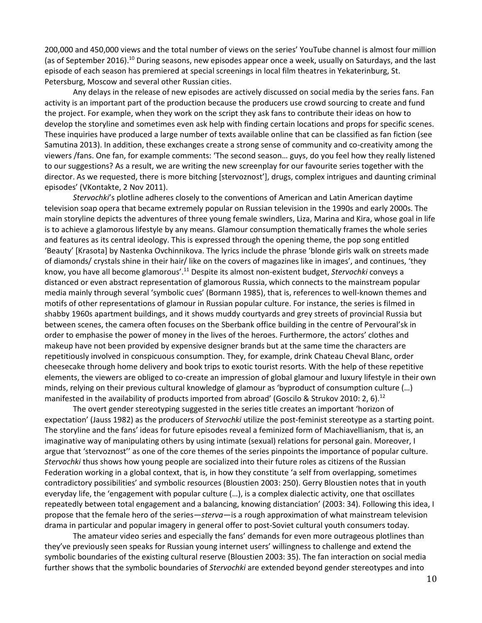200,000 and 450,000 views and the total number of views on the series' YouTube channel is almost four million (as of September 2016).<sup>10</sup> During seasons, new episodes appear once a week, usually on Saturdays, and the last episode of each season has premiered at special screenings in local film theatres in Yekaterinburg, St. Petersburg, Moscow and several other Russian cities.

Any delays in the release of new episodes are actively discussed on social media by the series fans. Fan activity is an important part of the production because the producers use crowd sourcing to create and fund the project. For example, when they work on the script they ask fans to contribute their ideas on how to develop the storyline and sometimes even ask help with finding certain locations and props for specific scenes. These inquiries have produced a large number of texts available online that can be classified as fan fiction (see Samutina 2013). In addition, these exchanges create a strong sense of community and co-creativity among the viewers /fans. One fan, for example comments: 'The second season… guys, do you feel how they really listened to our suggestions? As a result, we are writing the new screenplay for our favourite series together with the director. As we requested, there is more bitching [stervoznost'], drugs, complex intrigues and daunting criminal episodes' (VKontakte, 2 Nov 2011).

*Stervochki*'s plotline adheres closely to the conventions of American and Latin American daytime television soap opera that became extremely popular on Russian television in the 1990s and early 2000s. The main storyline depicts the adventures of three young female swindlers, Liza, Marina and Kira, whose goal in life is to achieve a glamorous lifestyle by any means. Glamour consumption thematically frames the whole series and features as its central ideology. This is expressed through the opening theme, the pop song entitled 'Beauty' [Krasota] by Nastenka Ovchinnikova. The lyrics include the phrase 'blonde girls walk on streets made of diamonds/ crystals shine in their hair/ like on the covers of magazines like in images', and continues, 'they know, you have all become glamorous'.<sup>11</sup> Despite its almost non-existent budget, *Stervochki* conveys a distanced or even abstract representation of glamorous Russia, which connects to the mainstream popular media mainly through several 'symbolic cues' (Bormann 1985), that is, references to well-known themes and motifs of other representations of glamour in Russian popular culture. For instance, the series is filmed in shabby 1960s apartment buildings, and it shows muddy courtyards and grey streets of provincial Russia but between scenes, the camera often focuses on the Sberbank office building in the centre of Pervoural'sk in order to emphasise the power of money in the lives of the heroes. Furthermore, the actors' clothes and makeup have not been provided by expensive designer brands but at the same time the characters are repetitiously involved in conspicuous consumption. They, for example, drink Chateau Cheval Blanc, order cheesecake through home delivery and book trips to exotic tourist resorts. With the help of these repetitive elements, the viewers are obliged to co-create an impression of global glamour and luxury lifestyle in their own minds, relying on their previous cultural knowledge of glamour as 'byproduct of consumption culture (…) manifested in the availability of products imported from abroad' (Goscilo & Strukov 2010: 2, 6).<sup>12</sup>

The overt gender stereotyping suggested in the series title creates an important 'horizon of expectation' (Jauss 1982) as the producers of *Stervochki* utilize the post-feminist stereotype as a starting point. The storyline and the fans' ideas for future episodes reveal a feminized form of Machiavellianism, that is, an imaginative way of manipulating others by using intimate (sexual) relations for personal gain. Moreover, I argue that 'stervoznost'' as one of the core themes of the series pinpoints the importance of popular culture. *Stervochki* thus shows how young people are socialized into their future roles as citizens of the Russian Federation working in a global context, that is, in how they constitute 'a self from overlapping, sometimes contradictory possibilities' and symbolic resources (Bloustien 2003: 250). Gerry Bloustien notes that in youth everyday life, the 'engagement with popular culture (…), is a complex dialectic activity, one that oscillates repeatedly between total engagement and a balancing, knowing distanciation' (2003: 34). Following this idea, I propose that the female hero of the series—*sterva*—is a rough approximation of what mainstream television drama in particular and popular imagery in general offer to post-Soviet cultural youth consumers today.

The amateur video series and especially the fans' demands for even more outrageous plotlines than they've previously seen speaks for Russian young internet users' willingness to challenge and extend the symbolic boundaries of the existing cultural reserve (Bloustien 2003: 35). The fan interaction on social media further shows that the symbolic boundaries of *Stervochki* are extended beyond gender stereotypes and into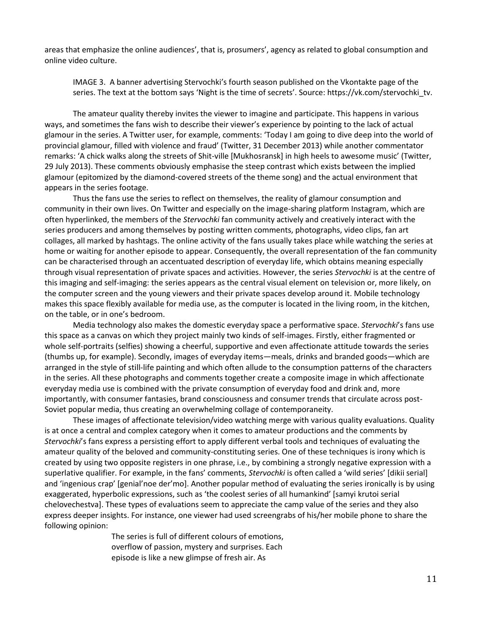areas that emphasize the online audiences', that is, prosumers', agency as related to global consumption and online video culture.

IMAGE 3. A banner advertising Stervochki's fourth season published on the Vkontakte page of the series. The text at the bottom says 'Night is the time of secrets'. Source: https://vk.com/stervochki\_tv.

The amateur quality thereby invites the viewer to imagine and participate. This happens in various ways, and sometimes the fans wish to describe their viewer's experience by pointing to the lack of actual glamour in the series. A Twitter user, for example, comments: 'Today I am going to dive deep into the world of provincial glamour, filled with violence and fraud' (Twitter, 31 December 2013) while another commentator remarks: 'A chick walks along the streets of Shit-ville [Mukhosransk] in high heels to awesome music' (Twitter, 29 July 2013). These comments obviously emphasise the steep contrast which exists between the implied glamour (epitomized by the diamond-covered streets of the theme song) and the actual environment that appears in the series footage.

Thus the fans use the series to reflect on themselves, the reality of glamour consumption and community in their own lives. On Twitter and especially on the image-sharing platform Instagram, which are often hyperlinked, the members of the *Stervochki* fan community actively and creatively interact with the series producers and among themselves by posting written comments, photographs, video clips, fan art collages, all marked by hashtags. The online activity of the fans usually takes place while watching the series at home or waiting for another episode to appear. Consequently, the overall representation of the fan community can be characterised through an accentuated description of everyday life, which obtains meaning especially through visual representation of private spaces and activities. However, the series *Stervochki* is at the centre of this imaging and self-imaging: the series appears as the central visual element on television or, more likely, on the computer screen and the young viewers and their private spaces develop around it. Mobile technology makes this space flexibly available for media use, as the computer is located in the living room, in the kitchen, on the table, or in one's bedroom.

Media technology also makes the domestic everyday space a performative space. *Stervochki*'s fans use this space as a canvas on which they project mainly two kinds of self-images. Firstly, either fragmented or whole self-portraits (selfies) showing a cheerful, supportive and even affectionate attitude towards the series (thumbs up, for example). Secondly, images of everyday items—meals, drinks and branded goods—which are arranged in the style of still-life painting and which often allude to the consumption patterns of the characters in the series. All these photographs and comments together create a composite image in which affectionate everyday media use is combined with the private consumption of everyday food and drink and, more importantly, with consumer fantasies, brand consciousness and consumer trends that circulate across post-Soviet popular media, thus creating an overwhelming collage of contemporaneity.

These images of affectionate television/video watching merge with various quality evaluations. Quality is at once a central and complex category when it comes to amateur productions and the comments by *Stervochki*'s fans express a persisting effort to apply different verbal tools and techniques of evaluating the amateur quality of the beloved and community-constituting series. One of these techniques is irony which is created by using two opposite registers in one phrase, i.e., by combining a strongly negative expression with a superlative qualifier. For example, in the fans' comments, *Stervochki* is often called a 'wild series' [dikii serial] and 'ingenious crap' [genial'noe der'mo]. Another popular method of evaluating the series ironically is by using exaggerated, hyperbolic expressions, such as 'the coolest series of all humankind' [samyi krutoi serial chelovechestva]. These types of evaluations seem to appreciate the camp value of the series and they also express deeper insights. For instance, one viewer had used screengrabs of his/her mobile phone to share the following opinion:

> The series is full of different colours of emotions, overflow of passion, mystery and surprises. Each episode is like a new glimpse of fresh air. As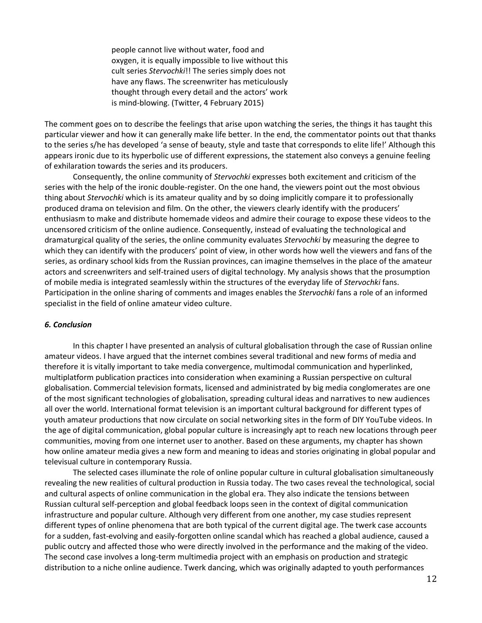people cannot live without water, food and oxygen, it is equally impossible to live without this cult series *Stervochki*!! The series simply does not have any flaws. The screenwriter has meticulously thought through every detail and the actors' work is mind-blowing. (Twitter, 4 February 2015)

The comment goes on to describe the feelings that arise upon watching the series, the things it has taught this particular viewer and how it can generally make life better. In the end, the commentator points out that thanks to the series s/he has developed 'a sense of beauty, style and taste that corresponds to elite life!' Although this appears ironic due to its hyperbolic use of different expressions, the statement also conveys a genuine feeling of exhilaration towards the series and its producers.

Consequently, the online community of *Stervochki* expresses both excitement and criticism of the series with the help of the ironic double-register. On the one hand, the viewers point out the most obvious thing about *Stervochki* which is its amateur quality and by so doing implicitly compare it to professionally produced drama on television and film. On the other, the viewers clearly identify with the producers' enthusiasm to make and distribute homemade videos and admire their courage to expose these videos to the uncensored criticism of the online audience. Consequently, instead of evaluating the technological and dramaturgical quality of the series, the online community evaluates *Stervochki* by measuring the degree to which they can identify with the producers' point of view, in other words how well the viewers and fans of the series, as ordinary school kids from the Russian provinces, can imagine themselves in the place of the amateur actors and screenwriters and self-trained users of digital technology. My analysis shows that the prosumption of mobile media is integrated seamlessly within the structures of the everyday life of *Stervochki* fans. Participation in the online sharing of comments and images enables the *Stervochki* fans a role of an informed specialist in the field of online amateur video culture.

### *6. Conclusion*

In this chapter I have presented an analysis of cultural globalisation through the case of Russian online amateur videos. I have argued that the internet combines several traditional and new forms of media and therefore it is vitally important to take media convergence, multimodal communication and hyperlinked, multiplatform publication practices into consideration when examining a Russian perspective on cultural globalisation. Commercial television formats, licensed and administrated by big media conglomerates are one of the most significant technologies of globalisation, spreading cultural ideas and narratives to new audiences all over the world. International format television is an important cultural background for different types of youth amateur productions that now circulate on social networking sites in the form of DIY YouTube videos. In the age of digital communication, global popular culture is increasingly apt to reach new locations through peer communities, moving from one internet user to another. Based on these arguments, my chapter has shown how online amateur media gives a new form and meaning to ideas and stories originating in global popular and televisual culture in contemporary Russia.

The selected cases illuminate the role of online popular culture in cultural globalisation simultaneously revealing the new realities of cultural production in Russia today. The two cases reveal the technological, social and cultural aspects of online communication in the global era. They also indicate the tensions between Russian cultural self-perception and global feedback loops seen in the context of digital communication infrastructure and popular culture. Although very different from one another, my case studies represent different types of online phenomena that are both typical of the current digital age. The twerk case accounts for a sudden, fast-evolving and easily-forgotten online scandal which has reached a global audience, caused a public outcry and affected those who were directly involved in the performance and the making of the video. The second case involves a long-term multimedia project with an emphasis on production and strategic distribution to a niche online audience. Twerk dancing, which was originally adapted to youth performances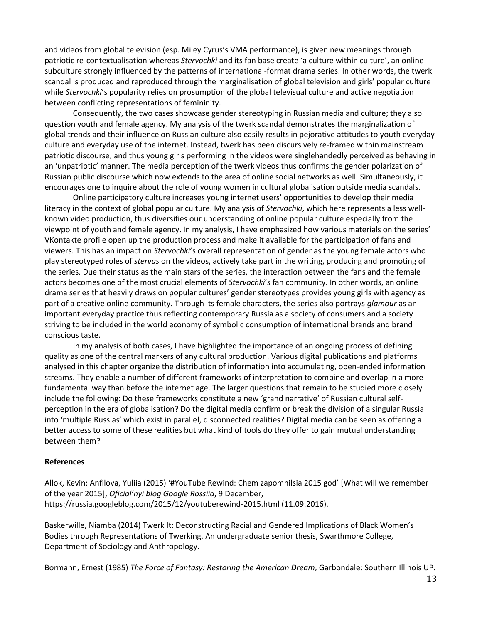and videos from global television (esp. Miley Cyrus's VMA performance), is given new meanings through patriotic re-contextualisation whereas *Stervochki* and its fan base create 'a culture within culture', an online subculture strongly influenced by the patterns of international-format drama series. In other words, the twerk scandal is produced and reproduced through the marginalisation of global television and girls' popular culture while *Stervochki*'s popularity relies on prosumption of the global televisual culture and active negotiation between conflicting representations of femininity.

Consequently, the two cases showcase gender stereotyping in Russian media and culture; they also question youth and female agency. My analysis of the twerk scandal demonstrates the marginalization of global trends and their influence on Russian culture also easily results in pejorative attitudes to youth everyday culture and everyday use of the internet. Instead, twerk has been discursively re-framed within mainstream patriotic discourse, and thus young girls performing in the videos were singlehandedly perceived as behaving in an 'unpatriotic' manner. The media perception of the twerk videos thus confirms the gender polarization of Russian public discourse which now extends to the area of online social networks as well. Simultaneously, it encourages one to inquire about the role of young women in cultural globalisation outside media scandals.

Online participatory culture increases young internet users' opportunities to develop their media literacy in the context of global popular culture. My analysis of *Stervochki*, which here represents a less wellknown video production, thus diversifies our understanding of online popular culture especially from the viewpoint of youth and female agency. In my analysis, I have emphasized how various materials on the series' VKontakte profile open up the production process and make it available for the participation of fans and viewers. This has an impact on *Stervochki*'s overall representation of gender as the young female actors who play stereotyped roles of *stervas* on the videos, actively take part in the writing, producing and promoting of the series. Due their status as the main stars of the series, the interaction between the fans and the female actors becomes one of the most crucial elements of *Stervochki*'s fan community. In other words, an online drama series that heavily draws on popular cultures' gender stereotypes provides young girls with agency as part of a creative online community. Through its female characters, the series also portrays *glamour* as an important everyday practice thus reflecting contemporary Russia as a society of consumers and a society striving to be included in the world economy of symbolic consumption of international brands and brand conscious taste.

In my analysis of both cases, I have highlighted the importance of an ongoing process of defining quality as one of the central markers of any cultural production. Various digital publications and platforms analysed in this chapter organize the distribution of information into accumulating, open-ended information streams. They enable a number of different frameworks of interpretation to combine and overlap in a more fundamental way than before the internet age. The larger questions that remain to be studied more closely include the following: Do these frameworks constitute a new 'grand narrative' of Russian cultural selfperception in the era of globalisation? Do the digital media confirm or break the division of a singular Russia into 'multiple Russias' which exist in parallel, disconnected realities? Digital media can be seen as offering a better access to some of these realities but what kind of tools do they offer to gain mutual understanding between them?

## **References**

Allok, Kevin; Anfilova, Yuliia (2015) '#YouTube Rewind: Chem zapomnilsia 2015 god' [What will we remember of the year 2015], *Oficial'nyi blog Google Rossiia*, 9 December, https://russia.googleblog.com/2015/12/youtuberewind-2015.html (11.09.2016).

Baskerwille, Niamba (2014) Twerk It: Deconstructing Racial and Gendered Implications of Black Women's Bodies through Representations of Twerking. An undergraduate senior thesis, Swarthmore College, Department of Sociology and Anthropology.

Bormann, Ernest (1985) *The Force of Fantasy: Restoring the American Dream*, Garbondale: Southern Illinois UP.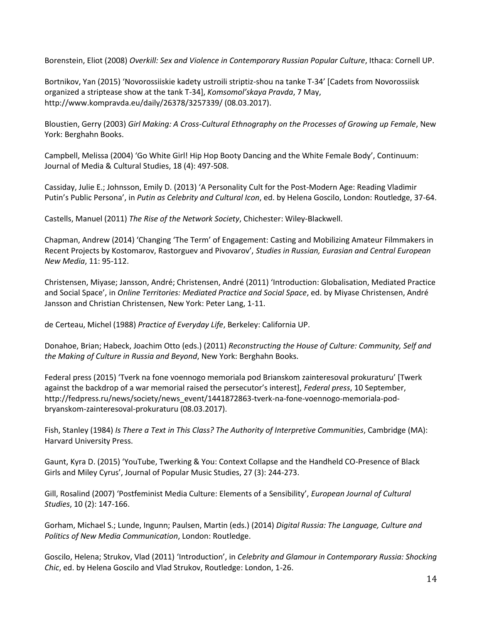Borenstein, Eliot (2008) *Overkill: Sex and Violence in Contemporary Russian Popular Culture*, Ithaca: Cornell UP.

Bortnikov, Yan (2015) 'Novorossiiskie kadety ustroili striptiz-shou na tanke T-34' [Cadets from Novorossiisk organized a striptease show at the tank T-34], *Komsomol'skaya Pravda*, 7 May, http://www.kompravda.eu/daily/26378/3257339/ (08.03.2017).

Bloustien, Gerry (2003) *Girl Making: A Cross-Cultural Ethnography on the Processes of Growing up Female*, New York: Berghahn Books.

Campbell, Melissa (2004) 'Go White Girl! Hip Hop Booty Dancing and the White Female Body', Continuum: Journal of Media & Cultural Studies, 18 (4): 497-508.

Cassiday, Julie E.; Johnsson, Emily D. (2013) 'A Personality Cult for the Post-Modern Age: Reading Vladimir Putin's Public Persona', in *Putin as Celebrity and Cultural Icon*, ed. by Helena Goscilo, London: Routledge, 37-64.

Castells, Manuel (2011) *The Rise of the Network Society*, Chichester: Wiley-Blackwell.

Chapman, Andrew (2014) 'Changing 'The Term' of Engagement: Casting and Mobilizing Amateur Filmmakers in Recent Projects by Kostomarov, Rastorguev and Pivovarov', *Studies in Russian, Eurasian and Central European New Media*, 11: 95-112.

Christensen, Miyase; Jansson, André; Christensen, André (2011) 'Introduction: Globalisation, Mediated Practice and Social Space', in *Online Territories: Mediated Practice and Social Space*, ed. by Miyase Christensen, André Jansson and Christian Christensen, New York: Peter Lang, 1-11.

de Certeau, Michel (1988) *Practice of Everyday Life*, Berkeley: California UP.

Donahoe, Brian; Habeck, Joachim Otto (eds.) (2011) *Reconstructing the House of Culture: Community, Self and the Making of Culture in Russia and Beyond*, New York: Berghahn Books.

Federal press (2015) 'Tverk na fone voennogo memoriala pod Brianskom zainteresoval prokuraturu' [Twerk against the backdrop of a war memorial raised the persecutor's interest], *Federal press*, 10 September, http://fedpress.ru/news/society/news\_event/1441872863-tverk-na-fone-voennogo-memoriala-podbryanskom-zainteresoval-prokuraturu (08.03.2017).

Fish, Stanley (1984) *Is There a Text in This Class? The Authority of Interpretive Communities*, Cambridge (MA): Harvard University Press.

Gaunt, Kyra D. (2015) 'YouTube, Twerking & You: Context Collapse and the Handheld CO-Presence of Black Girls and Miley Cyrus', Journal of Popular Music Studies, 27 (3): 244-273.

Gill, Rosalind (2007) 'Postfeminist Media Culture: Elements of a Sensibility', *European Journal of Cultural Studies*, 10 (2): 147-166.

Gorham, Michael S.; Lunde, Ingunn; Paulsen, Martin (eds.) (2014) *Digital Russia: The Language, Culture and Politics of New Media Communication*, London: Routledge.

Goscilo, Helena; Strukov, Vlad (2011) 'Introduction', in *Celebrity and Glamour in Contemporary Russia: Shocking Chic*, ed. by Helena Goscilo and Vlad Strukov, Routledge: London, 1-26.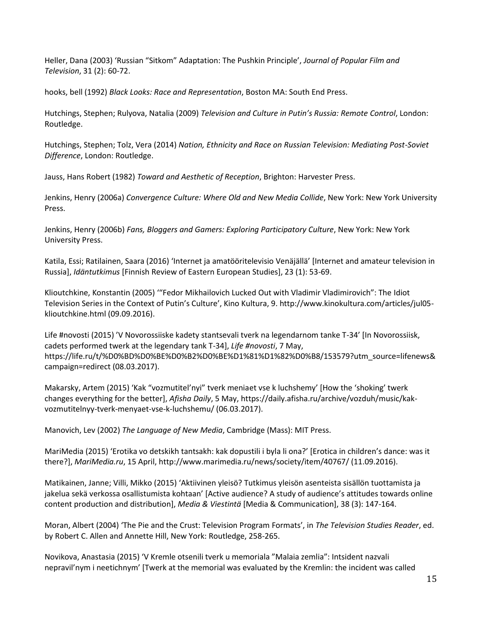Heller, Dana (2003) 'Russian "Sitkom" Adaptation: The Pushkin Principle', *Journal of Popular Film and Television*, 31 (2): 60-72.

hooks, bell (1992) *Black Looks: Race and Representation*, Boston MA: South End Press.

Hutchings, Stephen; Rulyova, Natalia (2009) *Television and Culture in Putin's Russia: Remote Control*, London: Routledge.

Hutchings, Stephen; Tolz, Vera (2014) *Nation, Ethnicity and Race on Russian Television: Mediating Post-Soviet Difference*, London: Routledge.

Jauss, Hans Robert (1982) *Toward and Aesthetic of Reception*, Brighton: Harvester Press.

Jenkins, Henry (2006a) *Convergence Culture: Where Old and New Media Collide*, New York: New York University Press.

Jenkins, Henry (2006b) *Fans, Bloggers and Gamers: Exploring Participatory Culture*, New York: New York University Press.

Katila, Essi; Ratilainen, Saara (2016) 'Internet ja amatööritelevisio Venäjällä' [Internet and amateur television in Russia], *Idäntutkimus* [Finnish Review of Eastern European Studies], 23 (1): 53-69.

Klioutchkine, Konstantin (2005) '"Fedor Mikhailovich Lucked Out with Vladimir Vladimirovich": The Idiot Television Series in the Context of Putin's Culture', Kino Kultura, 9. http://www.kinokultura.com/articles/jul05 klioutchkine.html (09.09.2016).

Life #novosti (2015) 'V Novorossiiske kadety stantsevali tverk na legendarnom tanke T-34' [In Novorossiisk, cadets performed twerk at the legendary tank T-34], *Life #novosti*, 7 May, https://life.ru/t/%D0%BD%D0%BE%D0%B2%D0%BE%D1%81%D1%82%D0%B8/153579?utm\_source=lifenews& campaign=redirect (08.03.2017).

Makarsky, Artem (2015) 'Kak "vozmutitel'nyi" tverk meniaet vse k luchshemy' [How the 'shoking' twerk changes everything for the better], *Afisha Daily*, 5 May, https://daily.afisha.ru/archive/vozduh/music/kakvozmutitelnyy-tverk-menyaet-vse-k-luchshemu/ (06.03.2017).

Manovich, Lev (2002) *The Language of New Media*, Cambridge (Mass): MIT Press.

MariMedia (2015) 'Erotika vo detskikh tantsakh: kak dopustili i byla li ona?' [Erotica in children's dance: was it there?], *MariMedia.ru*, 15 April, http://www.marimedia.ru/news/society/item/40767/ (11.09.2016).

Matikainen, Janne; Villi, Mikko (2015) 'Aktiivinen yleisö? Tutkimus yleisön asenteista sisällön tuottamista ja jakelua sekä verkossa osallistumista kohtaan' [Active audience? A study of audience's attitudes towards online content production and distribution], *Media & Viestintä* [Media & Communication], 38 (3): 147-164.

Moran, Albert (2004) 'The Pie and the Crust: Television Program Formats', in *The Television Studies Reader*, ed. by Robert C. Allen and Annette Hill, New York: Routledge, 258-265.

Novikova, Anastasia (2015) 'V Kremle otsenili tverk u memoriala "Malaia zemlia": Intsident nazvali nepravil'nym i neetichnym' [Twerk at the memorial was evaluated by the Kremlin: the incident was called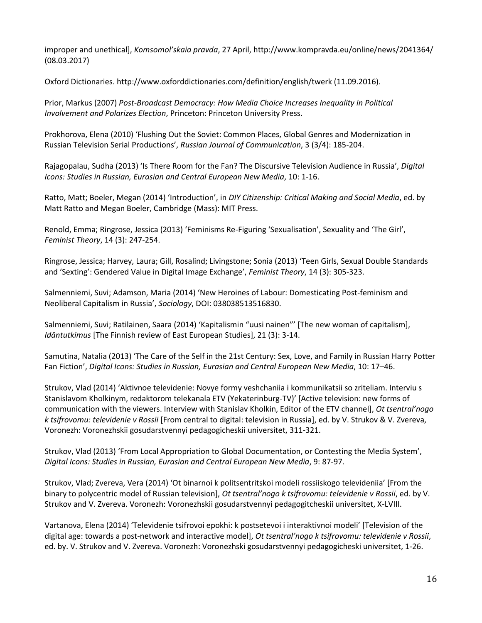improper and unethical], *Komsomol'skaia pravda*, 27 April, http://www.kompravda.eu/online/news/2041364/ (08.03.2017)

Oxford Dictionaries. http://www.oxforddictionaries.com/definition/english/twerk (11.09.2016).

Prior, Markus (2007) *Post-Broadcast Democracy: How Media Choice Increases Inequality in Political Involvement and Polarizes Election*, Princeton: Princeton University Press.

Prokhorova, Elena (2010) 'Flushing Out the Soviet: Common Places, Global Genres and Modernization in Russian Television Serial Productions', *Russian Journal of Communication*, 3 (3/4): 185-204.

Rajagopalau, Sudha (2013) 'Is There Room for the Fan? The Discursive Television Audience in Russia', *Digital Icons: Studies in Russian, Eurasian and Central European New Media*, 10: 1-16.

Ratto, Matt; Boeler, Megan (2014) 'Introduction', in *DIY Citizenship: Critical Making and Social Media*, ed. by Matt Ratto and Megan Boeler, Cambridge (Mass): MIT Press.

Renold, Emma; Ringrose, Jessica (2013) 'Feminisms Re-Figuring 'Sexualisation', Sexuality and 'The Girl', *Feminist Theory*, 14 (3): 247-254.

Ringrose, Jessica; Harvey, Laura; Gill, Rosalind; Livingstone; Sonia (2013) 'Teen Girls, Sexual Double Standards and 'Sexting': Gendered Value in Digital Image Exchange', *Feminist Theory*, 14 (3): 305-323.

Salmenniemi, Suvi; Adamson, Maria (2014) 'New Heroines of Labour: Domesticating Post-feminism and Neoliberal Capitalism in Russia', *Sociology*, DOI: 038038513516830.

Salmenniemi, Suvi; Ratilainen, Saara (2014) 'Kapitalismin "uusi nainen"' [The new woman of capitalism], *Idäntutkimus* [The Finnish review of East European Studies], 21 (3): 3-14.

Samutina, Natalia (2013) 'The Care of the Self in the 21st Century: Sex, Love, and Family in Russian Harry Potter Fan Fiction', *Digital Icons: Studies in Russian, Eurasian and Central European New Media*, 10: 17–46.

Strukov, Vlad (2014) 'Aktivnoe televidenie: Novye formy veshchaniia i kommunikatsii so zriteliam. Interviu s Stanislavom Kholkinym, redaktorom telekanala ETV (Yekaterinburg-TV)' [Active television: new forms of communication with the viewers. Interview with Stanislav Kholkin, Editor of the ETV channel], *Ot tsentral'nogo k tsifrovomu: televidenie v Rossii* [From central to digital: television in Russia], ed. by V. Strukov & V. Zvereva, Voronezh: Voronezhskii gosudarstvennyi pedagogicheskii universitet, 311-321.

Strukov, Vlad (2013) 'From Local Appropriation to Global Documentation, or Contesting the Media System', *Digital Icons: Studies in Russian, Eurasian and Central European New Media*, 9: 87-97.

Strukov, Vlad; Zvereva, Vera (2014) 'Ot binarnoi k politsentritskoi modeli rossiiskogo televideniia' [From the binary to polycentric model of Russian television], *Ot tsentral'nogo k tsifrovomu: televidenie v Rossii*, ed. by V. Strukov and V. Zvereva. Voronezh: Voronezhskii gosudarstvennyi pedagogitcheskii universitet, X-LVIII.

Vartanova, Elena (2014) 'Televidenie tsifrovoi epokhi: k postsetevoi i interaktivnoi modeli' [Television of the digital age: towards a post-network and interactive model], *Ot tsentral'nogo k tsifrovomu: televidenie v Rossii*, ed. by. V. Strukov and V. Zvereva. Voronezh: Voronezhski gosudarstvennyi pedagogicheski universitet, 1-26.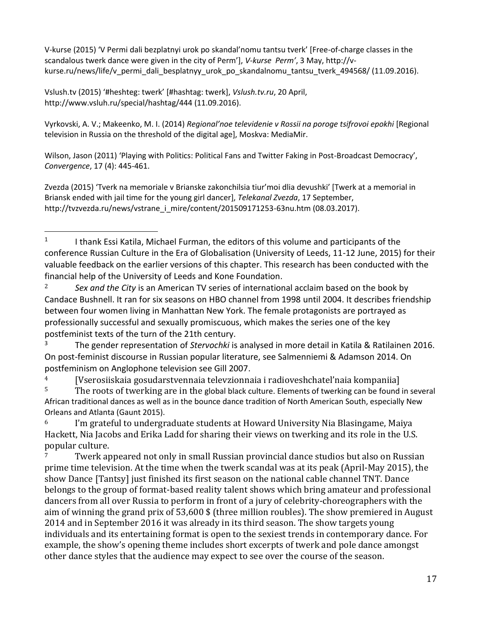V-kurse (2015) 'V Permi dali bezplatnyi urok po skandal'nomu tantsu tverk' [Free-of-charge classes in the scandalous twerk dance were given in the city of Perm'], *V-kurse Perm'*, 3 May, http://vkurse.ru/news/life/v\_permi\_dali\_besplatnyy\_urok\_po\_skandalnomu\_tantsu\_tverk\_494568/ (11.09.2016).

Vslush.tv (2015) '#heshteg: twerk' [#hashtag: twerk], *Vslush.tv.ru*, 20 April, http://www.vsluh.ru/special/hashtag/444 (11.09.2016).

 $\overline{a}$ 

Vyrkovski, A. V.; Makeenko, M. I. (2014) *Regional'noe televidenie v Rossii na poroge tsifrovoi epokhi* [Regional television in Russia on the threshold of the digital age], Moskva: MediaMir.

Wilson, Jason (2011) 'Playing with Politics: Political Fans and Twitter Faking in Post-Broadcast Democracy', *Convergence*, 17 (4): 445-461.

Zvezda (2015) 'Tverk na memoriale v Brianske zakonchilsia tiur'moi dlia devushki' [Twerk at a memorial in Briansk ended with jail time for the young girl dancer], *Telekanal Zvezda*, 17 September, http://tvzvezda.ru/news/vstrane\_i\_mire/content/201509171253-63nu.htm (08.03.2017).

<sup>4</sup> [Vserosiiskaia gosudarstvennaia televzionnaia i radioveshchatel'naia kompaniia]

<sup>1</sup> I thank Essi Katila, Michael Furman, the editors of this volume and participants of the conference Russian Culture in the Era of Globalisation (University of Leeds, 11-12 June, 2015) for their valuable feedback on the earlier versions of this chapter. This research has been conducted with the financial help of the University of Leeds and Kone Foundation.

<sup>2</sup> *Sex and the City* is an American TV series of international acclaim based on the book by Candace Bushnell. It ran for six seasons on HBO channel from 1998 until 2004. It describes friendship between four women living in Manhattan New York. The female protagonists are portrayed as professionally successful and sexually promiscuous, which makes the series one of the key postfeminist texts of the turn of the 21th century.<br>3 The gonder representation of Stervechki is

<sup>3</sup> The gender representation of *Stervochki* is analysed in more detail in Katila & Ratilainen 2016. On post-feminist discourse in Russian popular literature, see Salmenniemi & Adamson 2014. On postfeminism on Anglophone television see Gill 2007.

<sup>&</sup>lt;sup>5</sup> The roots of twerking are in the global black culture. Elements of twerking can be found in several African traditional dances as well as in the bounce dance tradition of North American South, especially New Orleans and Atlanta (Gaunt 2015).

<sup>&</sup>lt;sup>6</sup> I'm grateful to undergraduate students at Howard University Nia Blasingame, Maiya Hackett, Nia Jacobs and Erika Ladd for sharing their views on twerking and its role in the U.S. popular culture.

<sup>7</sup> Twerk appeared not only in small Russian provincial dance studios but also on Russian prime time television. At the time when the twerk scandal was at its peak (April-May 2015), the show Dance [Tantsy] just finished its first season on the national cable channel TNT. Dance belongs to the group of format-based reality talent shows which bring amateur and professional dancers from all over Russia to perform in front of a jury of celebrity-choreographers with the aim of winning the grand prix of 53,600 \$ (three million roubles). The show premiered in August 2014 and in September 2016 it was already in its third season. The show targets young individuals and its entertaining format is open to the sexiest trends in contemporary dance. For example, the show's opening theme includes short excerpts of twerk and pole dance amongst other dance styles that the audience may expect to see over the course of the season.